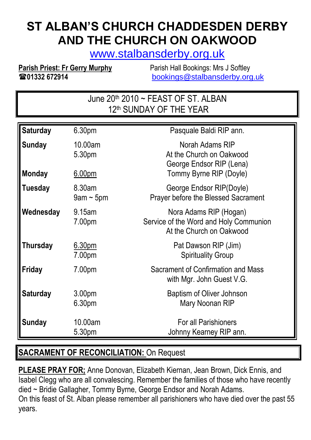# **ST ALBAN'S CHURCH CHADDESDEN DERBY AND THE CHURCH ON OAKWOOD**

[www.stalbansderby.org.uk](http://www.stalbansderby.org.uk/)

**Parish Priest: Fr Gerry Murphy** Parish Hall Bookings: Mrs J Softley **01332 672914** [bookings@stalbansderby.org.uk](mailto:bookings@stalbansderby.org.uk)

> June  $20<sup>th</sup> 2010 \sim$  FEAST OF ST. ALBAN 12<sup>th</sup> SUNDAY OF THE YEAR

| <b>Saturday</b> | 6.30pm                    | Pasquale Baldi RIP ann.                                                                      |
|-----------------|---------------------------|----------------------------------------------------------------------------------------------|
| <b>Sunday</b>   | 10.00am<br>5.30pm         | Norah Adams RIP<br>At the Church on Oakwood<br>George Endsor RIP (Lena)                      |
| <b>Monday</b>   | 6.00 <sub>pm</sub>        | Tommy Byrne RIP (Doyle)                                                                      |
| Tuesday         | 8.30am<br>$9$ am ~ $5$ pm | George Endsor RIP(Doyle)<br><b>Prayer before the Blessed Sacrament</b>                       |
| Wednesday       | 9.15am<br>7.00pm          | Nora Adams RIP (Hogan)<br>Service of the Word and Holy Communion<br>At the Church on Oakwood |
| <b>Thursday</b> | 6.30pm<br>7.00pm          | Pat Dawson RIP (Jim)<br><b>Spirituality Group</b>                                            |
| Friday          | 7.00pm                    | Sacrament of Confirmation and Mass<br>with Mgr. John Guest V.G.                              |
| <b>Saturday</b> | 3.00pm<br>6.30pm          | Baptism of Oliver Johnson<br>Mary Noonan RIP                                                 |
| <b>Sunday</b>   | 10.00am<br>5.30pm         | <b>For all Parishioners</b><br>Johnny Kearney RIP ann.                                       |

#### **SACRAMENT OF RECONCILIATION:** On Request

**PLEASE PRAY FOR;** Anne Donovan, Elizabeth Kiernan, Jean Brown, Dick Ennis, and Isabel Clegg who are all convalescing. Remember the families of those who have recently died ~ Bridie Gallagher, Tommy Byrne, George Endsor and Norah Adams. On this feast of St. Alban please remember all parishioners who have died over the past 55 years.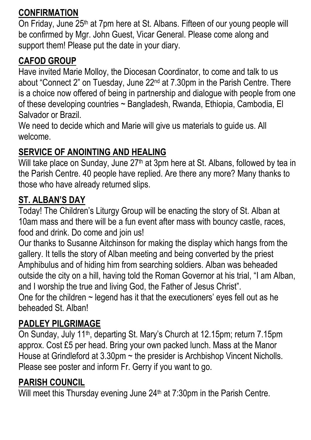### **CONFIRMATION**

On Friday, June 25th at 7pm here at St. Albans. Fifteen of our young people will be confirmed by Mgr. John Guest, Vicar General. Please come along and support them! Please put the date in your diary.

### **CAFOD GROUP**

Have invited Marie Molloy, the Diocesan Coordinator, to come and talk to us about "Connect 2" on Tuesday, June 22nd at 7.30pm in the Parish Centre. There is a choice now offered of being in partnership and dialogue with people from one of these developing countries ~ Bangladesh, Rwanda, Ethiopia, Cambodia, El Salvador or Brazil.

We need to decide which and Marie will give us materials to guide us. All welcome.

# **SERVICE OF ANOINTING AND HEALING**

Will take place on Sunday, June 27<sup>th</sup> at 3pm here at St. Albans, followed by tea in the Parish Centre. 40 people have replied. Are there any more? Many thanks to those who have already returned slips.

### **ST. ALBAN'S DAY**

Today! The Children's Liturgy Group will be enacting the story of St. Alban at 10am mass and there will be a fun event after mass with bouncy castle, races, food and drink. Do come and join us!

Our thanks to Susanne Aitchinson for making the display which hangs from the gallery. It tells the story of Alban meeting and being converted by the priest Amphibulus and of hiding him from searching soldiers. Alban was beheaded outside the city on a hill, having told the Roman Governor at his trial, "I am Alban, and I worship the true and living God, the Father of Jesus Christ". One for the children  $\sim$  legend has it that the executioners' eyes fell out as he

beheaded St. Alban!

# **PADLEY PILGRIMAGE**

On Sunday, July 11th, departing St. Mary's Church at 12.15pm; return 7.15pm approx. Cost £5 per head. Bring your own packed lunch. Mass at the Manor House at Grindleford at  $3.30 \text{pm} \sim$  the presider is Archbishop Vincent Nicholls. Please see poster and inform Fr. Gerry if you want to go.

# **PARISH COUNCIL**

Will meet this Thursday evening June 24<sup>th</sup> at 7:30pm in the Parish Centre.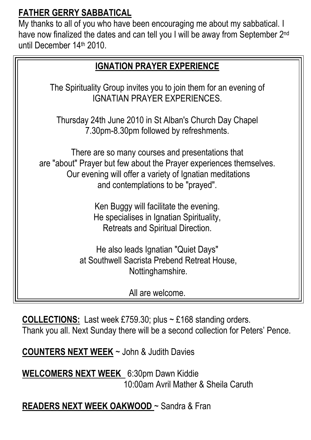### **FATHER GERRY SABBATICAL**

My thanks to all of you who have been encouraging me about my sabbatical. I have now finalized the dates and can tell you I will be away from September 2<sup>nd</sup> until December 14th 2010.

| <b>IGNATION PRAYER EXPERIENCE</b>                                                                                                                                                                                         |  |  |
|---------------------------------------------------------------------------------------------------------------------------------------------------------------------------------------------------------------------------|--|--|
| The Spirituality Group invites you to join them for an evening of<br><b>IGNATIAN PRAYER EXPERIENCES.</b>                                                                                                                  |  |  |
| Thursday 24th June 2010 in St Alban's Church Day Chapel<br>7.30pm-8.30pm followed by refreshments.                                                                                                                        |  |  |
| There are so many courses and presentations that<br>are "about" Prayer but few about the Prayer experiences themselves.<br>Our evening will offer a variety of Ignatian meditations<br>and contemplations to be "prayed". |  |  |
| Ken Buggy will facilitate the evening.<br>He specialises in Ignatian Spirituality,<br>Retreats and Spiritual Direction.                                                                                                   |  |  |
| He also leads Ignatian "Quiet Days"<br>at Southwell Sacrista Prebend Retreat House,<br>Nottinghamshire.                                                                                                                   |  |  |
| All are welcome.                                                                                                                                                                                                          |  |  |

**COLLECTIONS:** Last week £759.30; plus ~ £168 standing orders. Thank you all. Next Sunday there will be a second collection for Peters' Pence.

**COUNTERS NEXT WEEK** ~ John & Judith Davies

**WELCOMERS NEXT WEEK** 6:30pm Dawn Kiddie 10:00am Avril Mather & Sheila Caruth

### **READERS NEXT WEEK OAKWOOD** ~ Sandra & Fran